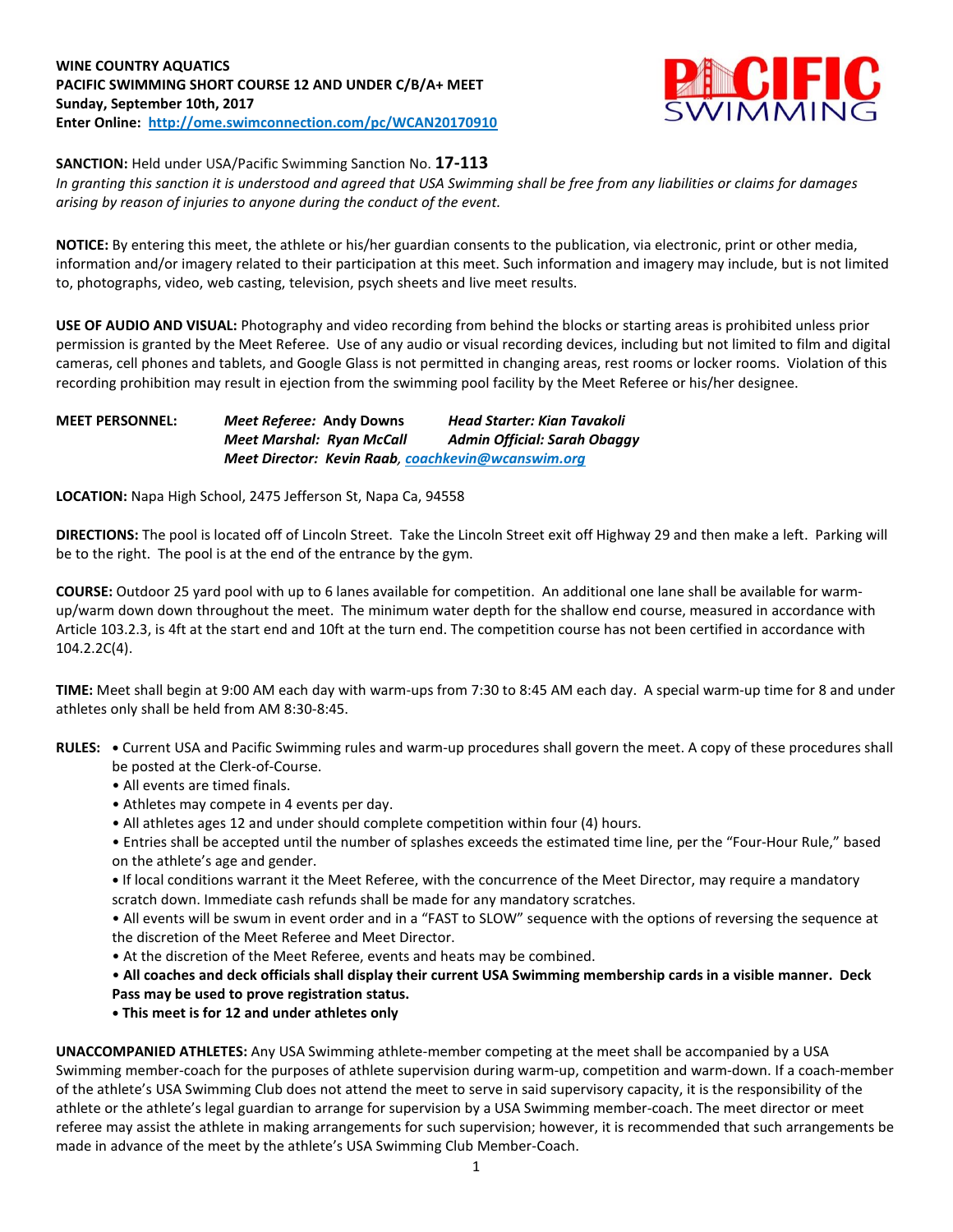# **WINE COUNTRY AQUATICS PACIFIC SWIMMING SHORT COURSE 12 AND UNDER C/B/A+ MEET Sunday, September 10th, 2017 Enter Online: <http://ome.swimconnection.com/pc/WCAN20170910>**



**SANCTION:** Held under USA/Pacific Swimming Sanction No. **17-113**

In granting this sanction it is understood and agreed that USA Swimming shall be free from any liabilities or claims for damages *arising by reason of injuries to anyone during the conduct of the event.*

**NOTICE:** By entering this meet, the athlete or his/her guardian consents to the publication, via electronic, print or other media, information and/or imagery related to their participation at this meet. Such information and imagery may include, but is not limited to, photographs, video, web casting, television, psych sheets and live meet results.

**USE OF AUDIO AND VISUAL:** Photography and video recording from behind the blocks or starting areas is prohibited unless prior permission is granted by the Meet Referee. Use of any audio or visual recording devices, including but not limited to film and digital cameras, cell phones and tablets, and Google Glass is not permitted in changing areas, rest rooms or locker rooms. Violation of this recording prohibition may result in ejection from the swimming pool facility by the Meet Referee or his/her designee.

**MEET PERSONNEL:** *Meet Referee:* **Andy Downs** *Head Starter: Kian Tavakoli Meet Marshal: Ryan McCall Admin Official: Sarah Obaggy Meet Director: Kevin Raab, [coachkevin@wcanswim.org](mailto:coachkevin@wcanswim.org)*

**LOCATION:** Napa High School, 2475 Jefferson St, Napa Ca, 94558

**DIRECTIONS:** The pool is located off of Lincoln Street. Take the Lincoln Street exit off Highway 29 and then make a left. Parking will be to the right. The pool is at the end of the entrance by the gym.

**COURSE:** Outdoor 25 yard pool with up to 6 lanes available for competition. An additional one lane shall be available for warmup/warm down down throughout the meet. The minimum water depth for the shallow end course, measured in accordance with Article 103.2.3, is 4ft at the start end and 10ft at the turn end. The competition course has not been certified in accordance with 104.2.2C(4).

**TIME:** Meet shall begin at 9:00 AM each day with warm-ups from 7:30 to 8:45 AM each day. A special warm-up time for 8 and under athletes only shall be held from AM 8:30-8:45.

- **RULES: •** Current USA and Pacific Swimming rules and warm-up procedures shall govern the meet. A copy of these procedures shall be posted at the Clerk-of-Course.
	- All events are timed finals.
	- Athletes may compete in 4 events per day.
	- All athletes ages 12 and under should complete competition within four (4) hours.

• Entries shall be accepted until the number of splashes exceeds the estimated time line, per the "Four-Hour Rule," based on the athlete's age and gender.

**•** If local conditions warrant it the Meet Referee, with the concurrence of the Meet Director, may require a mandatory scratch down. Immediate cash refunds shall be made for any mandatory scratches.

• All events will be swum in event order and in a "FAST to SLOW" sequence with the options of reversing the sequence at the discretion of the Meet Referee and Meet Director.

• At the discretion of the Meet Referee, events and heats may be combined.

. All coaches and deck officials shall display their current USA Swimming membership cards in a visible manner. Deck **Pass may be used to prove registration status.**

**• This meet is for 12 and under athletes only**

**UNACCOMPANIED ATHLETES:** Any USA Swimming athlete-member competing at the meet shall be accompanied by a USA Swimming member-coach for the purposes of athlete supervision during warm-up, competition and warm-down. If a coach-member of the athlete's USA Swimming Club does not attend the meet to serve in said supervisory capacity, it is the responsibility of the athlete or the athlete's legal guardian to arrange for supervision by a USA Swimming member-coach. The meet director or meet referee may assist the athlete in making arrangements for such supervision; however, it is recommended that such arrangements be made in advance of the meet by the athlete's USA Swimming Club Member-Coach.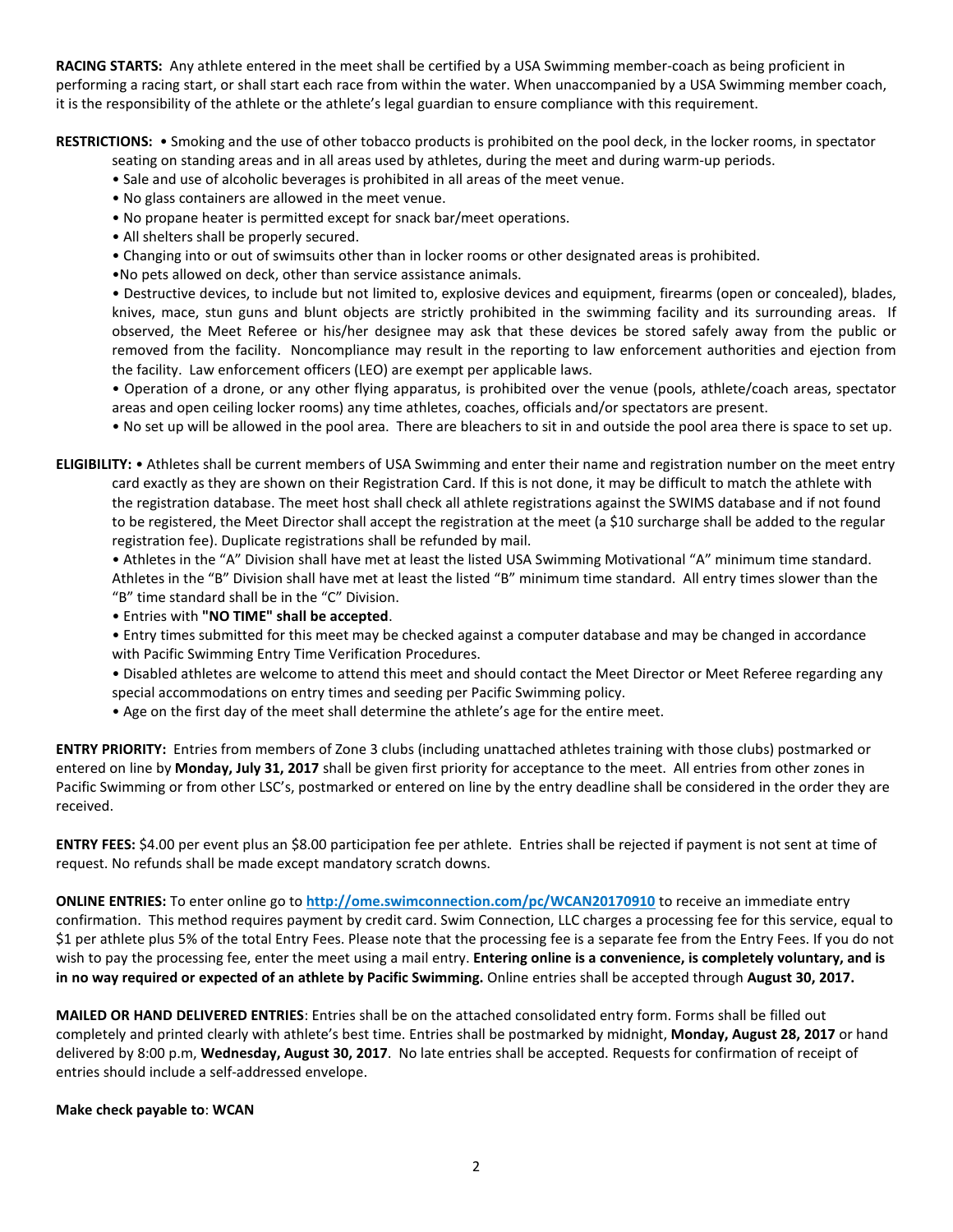**RACING STARTS:** Any athlete entered in the meet shall be certified by a USA Swimming member-coach as being proficient in performing a racing start, or shall start each race from within the water. When unaccompanied by a USA Swimming member coach, it is the responsibility of the athlete or the athlete's legal guardian to ensure compliance with this requirement.

**RESTRICTIONS:** • Smoking and the use of other tobacco products is prohibited on the pool deck, in the locker rooms, in spectator

seating on standing areas and in all areas used by athletes, during the meet and during warm-up periods.

- Sale and use of alcoholic beverages is prohibited in all areas of the meet venue.
- No glass containers are allowed in the meet venue.
- No propane heater is permitted except for snack bar/meet operations.
- All shelters shall be properly secured.
- Changing into or out of swimsuits other than in locker rooms or other designated areas is prohibited.
- •No pets allowed on deck, other than service assistance animals.

• Destructive devices, to include but not limited to, explosive devices and equipment, firearms (open or concealed), blades, knives, mace, stun guns and blunt objects are strictly prohibited in the swimming facility and its surrounding areas. If observed, the Meet Referee or his/her designee may ask that these devices be stored safely away from the public or removed from the facility. Noncompliance may result in the reporting to law enforcement authorities and ejection from the facility. Law enforcement officers (LEO) are exempt per applicable laws.

• Operation of a drone, or any other flying apparatus, is prohibited over the venue (pools, athlete/coach areas, spectator areas and open ceiling locker rooms) any time athletes, coaches, officials and/or spectators are present.

• No set up will be allowed in the pool area. There are bleachers to sit in and outside the pool area there is space to set up.

**ELIGIBILITY:** • Athletes shall be current members of USA Swimming and enter their name and registration number on the meet entry card exactly as they are shown on their Registration Card. If this is not done, it may be difficult to match the athlete with the registration database. The meet host shall check all athlete registrations against the SWIMS database and if not found to be registered, the Meet Director shall accept the registration at the meet (a \$10 surcharge shall be added to the regular registration fee). Duplicate registrations shall be refunded by mail.

• Athletes in the "A" Division shall have met at least the listed USA Swimming Motivational "A" minimum time standard. Athletes in the "B" Division shall have met at least the listed "B" minimum time standard. All entry times slower than the "B" time standard shall be in the "C" Division.

- Entries with **"NO TIME" shall be accepted**.
- Entry times submitted for this meet may be checked against a computer database and may be changed in accordance with Pacific Swimming Entry Time Verification Procedures.
- Disabled athletes are welcome to attend this meet and should contact the Meet Director or Meet Referee regarding any special accommodations on entry times and seeding per Pacific Swimming policy.
- Age on the first day of the meet shall determine the athlete's age for the entire meet.

**ENTRY PRIORITY:** Entries from members of Zone 3 clubs (including unattached athletes training with those clubs) postmarked or entered on line by **Monday, July 31, 2017** shall be given first priority for acceptance to the meet. All entries from other zones in Pacific Swimming or from other LSC's, postmarked or entered on line by the entry deadline shall be considered in the order they are received.

**ENTRY FEES:** \$4.00 per event plus an \$8.00 participation fee per athlete. Entries shall be rejected if payment is not sent at time of request. No refunds shall be made except mandatory scratch downs.

**ONLINE ENTRIES:** To enter online go to **<http://ome.swimconnection.com/pc/WCAN20170910>** to receive an immediate entry confirmation. This method requires payment by credit card. Swim Connection, LLC charges a processing fee for this service, equal to \$1 per athlete plus 5% of the total Entry Fees. Please note that the processing fee is a separate fee from the Entry Fees. If you do not wish to pay the processing fee, enter the meet using a mail entry. **Entering online is a convenience, is completely voluntary, and is** in no way required or expected of an athlete by Pacific Swimming. Online entries shall be accepted through August 30, 2017.

**MAILED OR HAND DELIVERED ENTRIES**: Entries shall be on the attached consolidated entry form. Forms shall be filled out completely and printed clearly with athlete's best time. Entries shall be postmarked by midnight, **Monday, August 28, 2017** or hand delivered by 8:00 p.m, **Wednesday, August 30, 2017**. No late entries shall be accepted. Requests for confirmation of receipt of entries should include a self-addressed envelope.

### **Make check payable to**: **WCAN**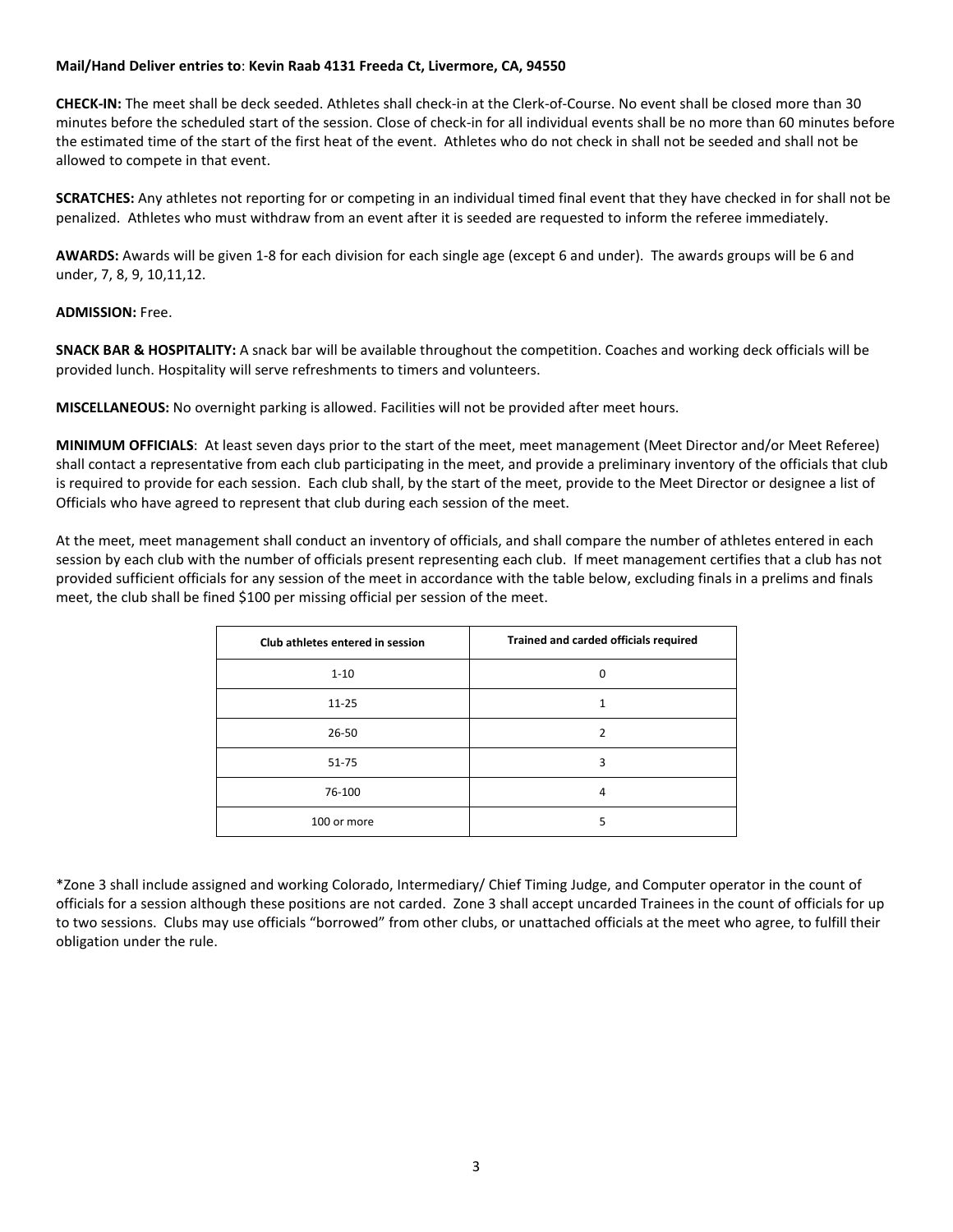#### **Mail/Hand Deliver entries to**: **Kevin Raab 4131 Freeda Ct, Livermore, CA, 94550**

**CHECK-IN:** The meet shall be deck seeded. Athletes shall check-in at the Clerk-of-Course. No event shall be closed more than 30 minutes before the scheduled start of the session. Close of check-in for all individual events shall be no more than 60 minutes before the estimated time of the start of the first heat of the event. Athletes who do not check in shall not be seeded and shall not be allowed to compete in that event.

**SCRATCHES:** Any athletes not reporting for or competing in an individual timed final event that they have checked in for shall not be penalized. Athletes who must withdraw from an event after it is seeded are requested to inform the referee immediately.

**AWARDS:** Awards will be given 1-8 for each division for each single age (except 6 and under). The awards groups will be 6 and under, 7, 8, 9, 10,11,12.

#### **ADMISSION:** Free.

**SNACK BAR & HOSPITALITY:** A snack bar will be available throughout the competition. Coaches and working deck officials will be provided lunch. Hospitality will serve refreshments to timers and volunteers.

**MISCELLANEOUS:** No overnight parking is allowed. Facilities will not be provided after meet hours.

**MINIMUM OFFICIALS**: At least seven days prior to the start of the meet, meet management (Meet Director and/or Meet Referee) shall contact a representative from each club participating in the meet, and provide a preliminary inventory of the officials that club is required to provide for each session. Each club shall, by the start of the meet, provide to the Meet Director or designee a list of Officials who have agreed to represent that club during each session of the meet.

At the meet, meet management shall conduct an inventory of officials, and shall compare the number of athletes entered in each session by each club with the number of officials present representing each club. If meet management certifies that a club has not provided sufficient officials for any session of the meet in accordance with the table below, excluding finals in a prelims and finals meet, the club shall be fined \$100 per missing official per session of the meet.

| Club athletes entered in session | Trained and carded officials required |
|----------------------------------|---------------------------------------|
| $1 - 10$                         | $\Omega$                              |
| $11 - 25$                        | 1                                     |
| 26-50                            | າ                                     |
| $51 - 75$                        | 3                                     |
| 76-100                           | 4                                     |
| 100 or more                      | 5                                     |

\*Zone 3 shall include assigned and working Colorado, Intermediary/ Chief Timing Judge, and Computer operator in the count of officials for a session although these positions are not carded. Zone 3 shall accept uncarded Trainees in the count of officials for up to two sessions. Clubs may use officials "borrowed" from other clubs, or unattached officials at the meet who agree, to fulfill their obligation under the rule.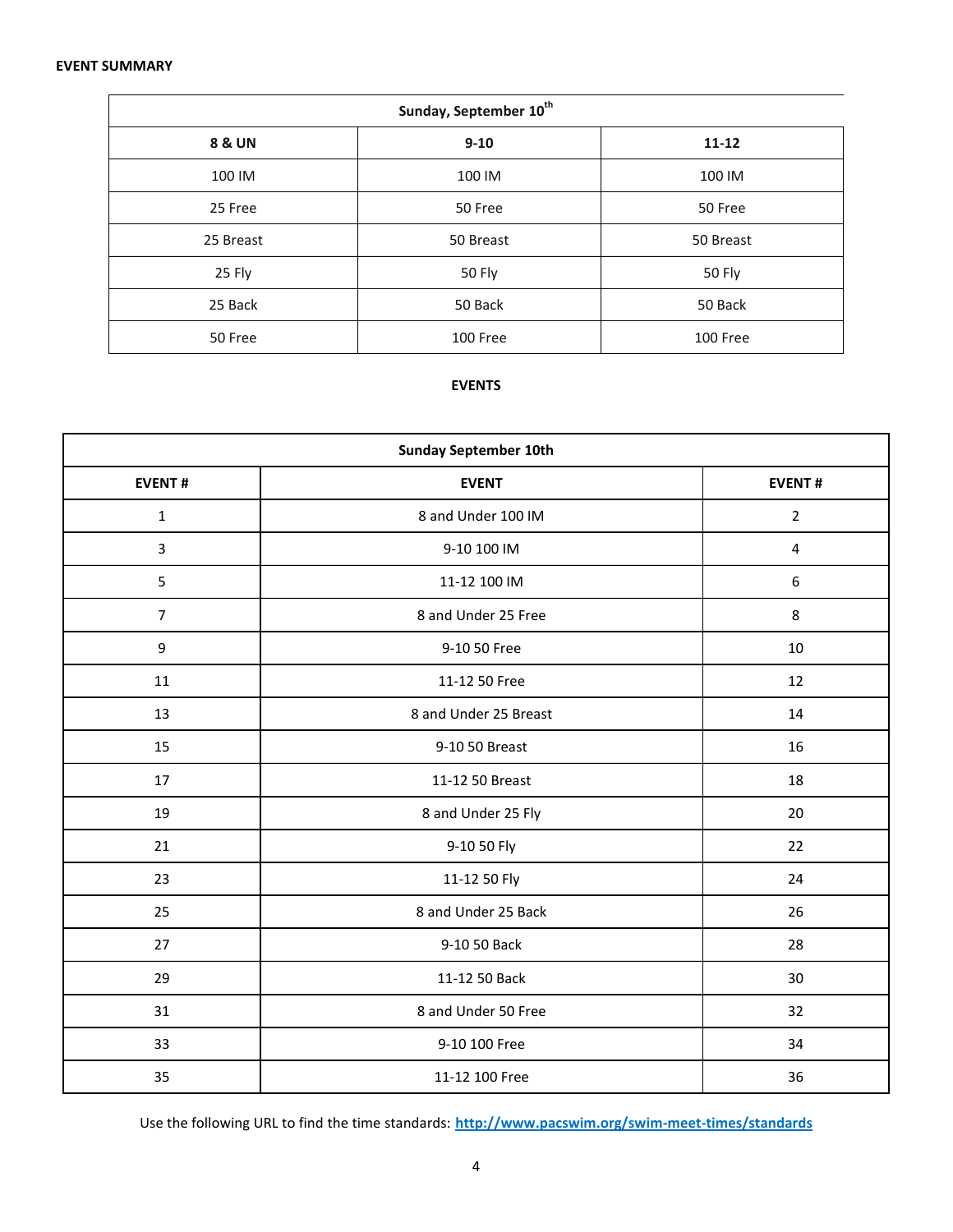#### **EVENT SUMMARY**

| Sunday, September 10 <sup>th</sup> |           |           |  |  |  |  |  |  |  |
|------------------------------------|-----------|-----------|--|--|--|--|--|--|--|
| <b>8 &amp; UN</b>                  | $9 - 10$  | $11 - 12$ |  |  |  |  |  |  |  |
| 100 IM                             | 100 IM    | 100 IM    |  |  |  |  |  |  |  |
| 25 Free                            | 50 Free   | 50 Free   |  |  |  |  |  |  |  |
| 25 Breast                          | 50 Breast | 50 Breast |  |  |  |  |  |  |  |
| 25 Fly                             | 50 Fly    | 50 Fly    |  |  |  |  |  |  |  |
| 25 Back                            | 50 Back   | 50 Back   |  |  |  |  |  |  |  |
| 50 Free                            | 100 Free  | 100 Free  |  |  |  |  |  |  |  |

## **EVENTS**

| <b>Sunday September 10th</b> |                       |                  |  |  |  |  |  |  |  |
|------------------------------|-----------------------|------------------|--|--|--|--|--|--|--|
| <b>EVENT#</b>                | <b>EVENT</b>          |                  |  |  |  |  |  |  |  |
| $\mathbf 1$                  | 8 and Under 100 IM    | $\overline{2}$   |  |  |  |  |  |  |  |
| $\overline{3}$               | 9-10 100 IM           | $\sqrt{4}$       |  |  |  |  |  |  |  |
| 5                            | 11-12 100 IM          | $\boldsymbol{6}$ |  |  |  |  |  |  |  |
| $\overline{7}$               | 8 and Under 25 Free   | 8                |  |  |  |  |  |  |  |
| $\boldsymbol{9}$             | 9-10 50 Free          | 10               |  |  |  |  |  |  |  |
| 11                           | 11-12 50 Free         | 12               |  |  |  |  |  |  |  |
| 13                           | 8 and Under 25 Breast | 14               |  |  |  |  |  |  |  |
| 15                           | 9-10 50 Breast        | 16               |  |  |  |  |  |  |  |
| 17                           | 11-12 50 Breast       | 18               |  |  |  |  |  |  |  |
| 19                           | 8 and Under 25 Fly    | 20               |  |  |  |  |  |  |  |
| 21                           | 9-10 50 Fly           | 22               |  |  |  |  |  |  |  |
| 23                           | 11-12 50 Fly          | 24               |  |  |  |  |  |  |  |
| 25                           | 8 and Under 25 Back   | 26               |  |  |  |  |  |  |  |
| 27                           | 9-10 50 Back          | 28               |  |  |  |  |  |  |  |
| 29                           | 11-12 50 Back         | 30               |  |  |  |  |  |  |  |
| 31                           | 8 and Under 50 Free   | 32               |  |  |  |  |  |  |  |
| 33                           | 9-10 100 Free         | 34               |  |  |  |  |  |  |  |
| 35                           | 11-12 100 Free        | 36               |  |  |  |  |  |  |  |

Use the following URL to find the time standards: **<http://www.pacswim.org/swim-meet-times/standards>**